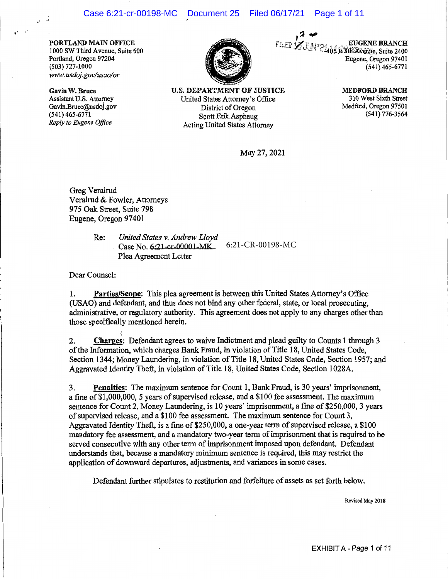**PORTLAND MAIN OFFICE**  1000 SW Third A venue, Suite 600 Portland, Oregon 97204 (503) 727-1000 *www.usdoj.gov/usao/or* 

**Gavin W. Bruce**  Assistant U.S. Attorney Gavin.Bruce@usdoj.gov (541) 465-6771 *Reply to Eugene Office* 



**U.S. DEPARTMENT OF JUSTICE**  United States Attorney's Office District of Oregon Scott Erik Asphaug Acting United States Attorney

,, **.,0**  *f'Ti* r:-r11 ~ 7j ,Lb·-•.; , . \_ **\_ EUGENE BRANCH** ----~~ *7.:.,* i.J.\_\_,·, c'.14i)iwz'ti:f:.:&¥nYie Suite 2400 ""'"-' Eugene, Oregon 97401 (541) 465-6771

> **MEDFORD BRANCH**  310 West Sixth Street Medford, Oregon 97501 (541) 776-3564

May 27, 2021

Greg Veralrud Veralrud & Fowler, Attorneys 975 Oak Street, Suite 798 Eugene, Oregon 97401

Re: *United States v. Andrew Lloyd*  Case No. 6:21-cr-00001-MK Plea Agreement Letter \_\_\_\_\_\_\_\_\_\_\_\_\_\_\_ 6:21-CR-00198-MC

Dear Counsel:

1. **Parties/Scope:** This plea agreement is between this United States Attorney's Office (USAO) and defendant, and thus does not bind any other federal, state, or local prosecuting, administrative, or regulatory authority. This agreement does not apply to any charges other than those specifically mentioned herein.

 $\check{}\,$ 2. **Charges:** Defendant agrees to waive Indictment and plead guilty to Counts 1 through 3 of the Information, which charges Bank Fraud, in violation of Title 18, United States Code, Section 1344; Money Laundering, in violation of Title 18, United States Code, Section 1957; and Aggravated Identity Theft, in violation of Title 18, United States Code, Section 1028A.

3. **Penalties:** The maximum sentence for Count 1, Bank Fraud, is 30 years' imprisonment, a fine of\$1,000,000, 5 years of supervised release, and a \$100 fee assessment. The maximum sentence for Count 2, Money Laundering, is 10 years' imprisonment, a fine of \$250,000, 3 years of supervised release, and a \$100 fee assessment. The maximum sentence for Count 3, Aggravated Identity Theft, is a fine of \$250,000, a one-year term of supervised release, a \$100 mandatory fee assessment, and a mandatory two-year term of imprisonment that is required to be served consecutive with any other term of imprisonment imposed upon defendant. Defendant understands that, because a mandatory minimum sentence is required, this may restrict the application of downward departures, adjustments, and variances in some cases.

Defendant further stipulates to restitution and forfeiture of assets as set forth below.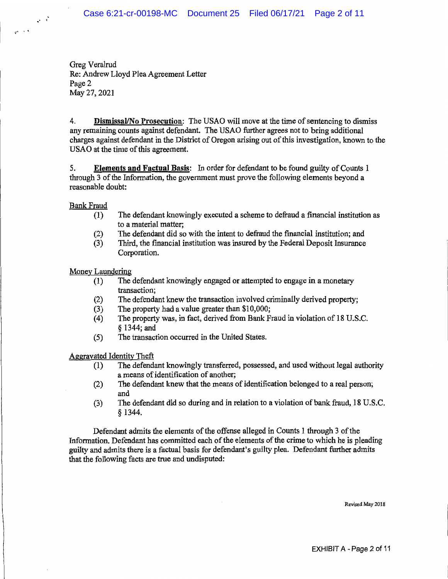Greg Veralrud Re: Andrew Lloyd Plea Agreement Letter Page 2 May 27, 2021

4. **Dismissal/No Prosecution:** The USAO will move at the time of sentencing to dismiss any remaining counts against defendant. The USAO further agrees not to bring additional charges against defendant in the District of Oregon arising out of this investigation, known to the USAO at the time of this agreement.

5. **Elements and Factual Basis:** In order for defendant to be found guilty of Counts 1 through 3 of the Information, the government must prove the following elements beyond a reasonable doubt:

Bank Fraud

 $\rightarrow$   $\rightarrow$ 

 $\tau^{i-1/4}$ 

- (1) The defendant knowingly executed a scheme to defraud a financial institution as to a material matter;
- (2) The defendant did so with the intent to defraud the financial institution; and
- (3) Third, the financial institution was insured by the Federal Deposit Insurance Corporation.

Money Laundering

- (I) The defendant knowingly engaged or attempted to engage in a monetary transaction;
- (2) The defendant knew the transaction involved criminally derived property;
- (3) The property had a value greater than \$10,000;
- (4) The property was, in fact, derived from Bank Fraud in violation of 18 U.S.C. § 1344; and
- (5) The transaction occurred in the United States.

Aggravated Identity Theft

- (1) The defendant knowingly transferred, possessed, and used without legal authority a means of identification of another;
- (2) The defendant knew that the means of identification belonged to a real person; and
- (3) The defendant did so during and in relation to a violation of bank fraud, 18 U.S.C. § 1344.

Defendant admits the elements of the offense alleged in Counts 1 through 3 of the Information. Defendant has committed each of the elements of the crime to which he is pleading guilty and admits there is a factual basis for defendant's guilty plea. Defendant further admits that the following facts are true and undisputed: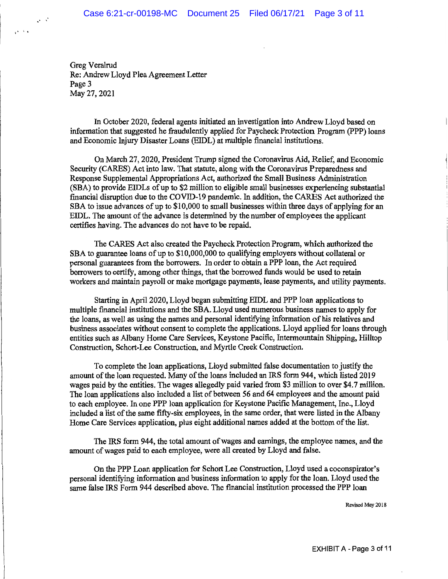Greg Veralrud Re: Andrew Lloyd Plea Agreement Letter Page 3 May 27, 2021

 $\mathcal{L}^{(1)}$ 

 $\mathbf{q}^{(k-1)/2}$ 

In October 2020, federal agents initiated an investigation into Andrew Lloyd based on information that suggested he fraudulently applied for Paycheck Protection Program (PPP) loans and Economic Injury Disaster Loans (EIDL) at multiple financial institutions.

On March 27, 2020, President Trump signed the Coronavirus Aid, Relief, and Economic Security (CARES) Act into law. That statute, along with the Coronavirus Preparedness and Response Supplemental Appropriations Act, authorized the Small Business. Administration (SBA) to provide EIDLs of up to \$2 million to eligible small businesses experiencing substantial financial disruption due to the COVID-19 pandemic. In addition, the CARES Act authorized the SBA to issue advances of up to \$10,000 to small businesses within three days of applying for an EIDL. The amount of the advance is determined by the number of employees the applicant certifies having. The advances do not have to be repaid.

The CARES Act also created the Paycheck Protection Program, which authorized the SBA to guarantee loans of up to \$10,000,000 to qualifying employers without collateral or personal guarantees from the borrowers. In order to obtain a PPP loan, the Act required borrowers to certify, among other things, that the borrowed funds would be used to retain workers and maintain payroll or make mortgage payments, lease payments, and utility payments.

Starting in April 2020, Lloyd began submitting EIDL and PPP loan applications to multiple financial institutions and the SBA. Lloyd used numerous business names to apply for the loans, as well as using the names and personal identifying information of his relatives and business associates without consent to complete the applications. Lloyd applied for loans through entities such as Albany Home Care Services, Keystone Pacific, Intermountain Shipping, Hilltop Construction, Schort-Lee Construction, and Myrtle Creek Construction.

To complete the loan applications, Lloyd submitted false documentation to justify the amount of the loan requested. Many of the loans included an IRS form 944, which listed 2019 wages paid by the entities. The wages allegedly paid varied from \$3 million to over \$4. 7 million. The loan applications also included a list of between 56 and 64 employees and the amount paid to each employee. In one PPP loan application for Keystone Pacific Management, Inc., Lloyd included a list of the same fifty-six employees, in the same order, that were listed in the Albany Home Care Services application, plus eight additional names added at the bottom of the list.

The IRS form 944, the total amount of wages and earnings, the employee names, and the amount of wages paid to each employee, were all created by Lloyd and false.

On the PPP Loan application for Schort Lee Construction, Lloyd used a coconspirator's personal identifying information and business information to apply for the loan. Lloyd used the same false IRS Form 944 described above. The financial institution processed the PPP loan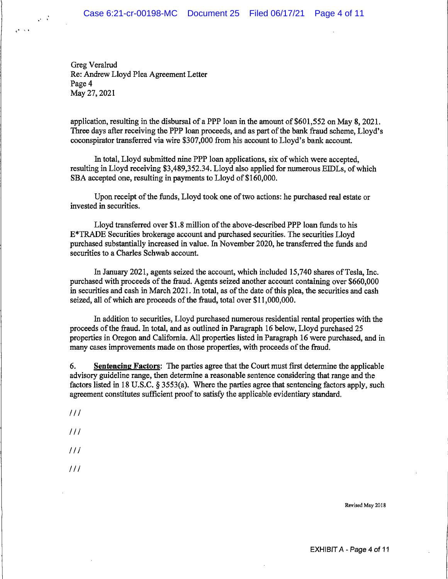Greg Veralrud Re: Andrew Lloyd Plea Agreement Letter Page 4 May 27, 2021

 $\omega/\lambda$ 

 $\mathbf{g}^{(\mathbf{k})}$  is a

application, resulting in the disbursal of a PPP loan in the amount of \$601,552 on May 8, 2021. Three days after receiving the PPP loan proceeds, and as part of the bank fraud scheme, Lloyd's coconspirator transferred via wire \$307,000 from his account to Lloyd's bank account.

In total, Lloyd submitted nine PPP loan applications, six of which were accepted, resulting in Lloyd receiving \$3,489,352.34. Lloyd also applied for numerous EIDLs, of which SBA accepted one, resulting in payments to Lloyd of \$160,000.

Upon receipt of the funds, Lloyd took one of two actions: he purchased real estate or invested in securities.

Lloyd transferred over \$1.8 million of the above-described PPP loan funds to his E\*TRADE Securities brokerage account and purchased securities. The securities Lloyd purchased substantially increased in value. In November 2020, he transferred the funds and securities to a Charles Schwab account.

In January 2021, agents seized the account, which included 15,740 shares of Tesla, Inc. purchased with proceeds of the fraud. Agents seized another account containing over \$660,000 in securities and cash in March 2021. In total, as of the date of this plea, the securities and cash seized, all of which are proceeds of the fraud, total over \$11,000,000.

In addition to securities, Lloyd purchased numerous residential rental properties with the proceeds of the fraud. In total, and as outlined in Paragraph 16 below, Lloyd purchased 25 properties in Oregon and California. All properties listed in Paragraph 16 were purchased, and in many cases improvements made on those properties, with proceeds of the fraud.

6. **Sentencing Factors:** The parties agree that the Court must first determine the applicable advisory guideline range, then determine a reasonable sentence considering that range and the factors listed in 18 U.S.C. § 3553(a). Where the parties agree that sentencing factors apply, such agreement constitutes sufficient proof to satisfy the applicable evidentiary standard.

 $111$ 

 $111$ 

 $III$ 

 $111$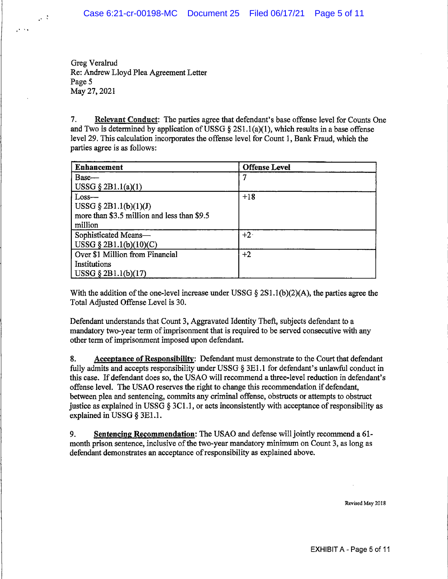Greg Veralrud Re: Andrew Lloyd Plea Agreement Letter Page 5 May 27, 2021

 $\sim 3$ 

 $\mathcal{O}(\sqrt{2})$ 

7. **Relevant Conduct:** The parties agree that defendant's base offense level for Counts One and Two is determined by application of USSG § 2S1.1(a)(1), which results in a base offense level 29. This calculation incorporates the offense level for Count 1, Bank Fraud, which the parties agree is as follows:

| <b>Enhancement</b>                          | <b>Offense Level</b> |
|---------------------------------------------|----------------------|
| Base-                                       |                      |
| USSG $\S$ 2B1.1(a)(1)                       |                      |
| $Loss-$                                     | $+18$                |
| USSG $\S$ 2B1.1(b)(1)(J)                    |                      |
| more than \$3.5 million and less than \$9.5 |                      |
| million                                     |                      |
| Sophisticated Means-                        | $+2$                 |
| USSG § 2B1.1(b)(10)(C)                      |                      |
| Over \$1 Million from Financial             | $+2$                 |
| Institutions                                |                      |
| $\vert$ USSG § 2B1.1(b)(17)                 |                      |

With the addition of the one-level increase under USSG  $\S 2S1.1(b)(2)(A)$ , the parties agree the Total Adjusted Offense Level is 30.

Defendant understands that Count 3, Aggravated Identity Theft, subjects defendant to a mandatory two-year term of imprisonment that is required to be served consecutive with any other term of imprisonment imposed upon defendant.

8. **Acceptance of Responsibility:** Defendant must demonstrate to the Court that defendant fully admits and accepts responsibility under USSG § 3E1.1 for defendant's unlawful conduct in this case. If defendant does so, the USAO will recommend a three-level reduction in defendant's offense level. The USAO reserves the right to change this recommendation if defendant, between plea and sentencing, commits any criminal offense, obstructs or attempts to obstruct justice as explained in USSG  $\S 3C1.1$ , or acts inconsistently with acceptance of responsibility as explained in USSG § 3El.l.

9. **Sentencing Recommendation:** The USAO and defense will jointly recommend a 61 month prison sentence, inclusive of the two-year mandatory minimum on Count 3, as long as defendant demonstrates an acceptance of responsibility as explained above.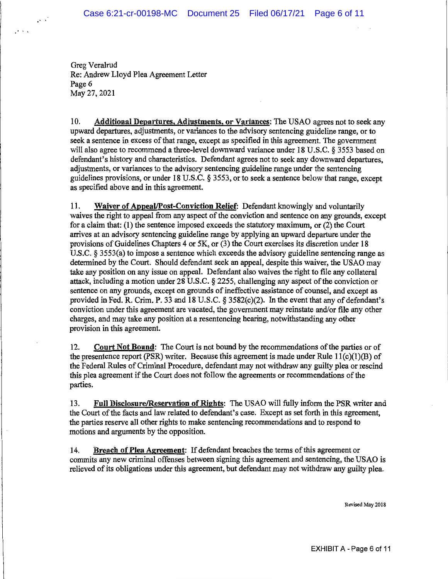Greg Veralrud Re: Andrew Lloyd Plea Agreement Letter Page 6 May 27, 2021

••I\

 $\mathcal{S}(\mathcal{S})$ 

10. **Additional Departures, Adjustments, or Variances:** The USAO agrees not to seek any upward departures, adjustments, or variances to the advisory sentencing guideline range, or to seek a sentence in excess of that range, except as specified in this agreement. The government will also agree to recommend a three-level downward variance under 18 U.S.C. § 3553 based on defendant's history and characteristics. Defendant agrees not to seek any downward departures, adjustments, or variances to the advisory sentencing guideline range under the sentencing guidelines provisions, or under 18 U.S.C. § 3553, or to seek a sentence below that range, except as specified above and in this agreement.

11. **Waiver of Appeal/Post-Conviction Relief:** Defendant knowingly and voluntarily waives the right to appeal from any aspect of the conviction and sentence on any grounds, except for a claim that: (1) the sentence imposed exceeds the statutory maximum, or (2) the Court arrives at an advisory sentencing guideline range by applying an upward departure under the provisions of Guidelines Chapters 4 or SK, or (3) the Court exercises its discretion under 18 U.S.C. § 3553(a) to impose a sentence which exceeds the advisory guideline sentencing range as determined by the Court. Should defendant seek an appeal, despite this waiver, the USAO may take any position on any issue on appeal. Defendant also waives the right to file any collateral attack, including a motion under 28 U.S.C. § 2255, challenging any aspect of the conviction or sentence on any grounds, except on grounds of ineffective assistance of counsel, and except as provided in Fed. R. Crim. P. 33 and 18 U.S.C. § 3582(c)(2). In the event that any of defendant's conviction under this agreement are vacated, the government may reinstate and/or file any other charges, and may take any position at a resentencing hearing, notwithstanding any other provision in this agreement.

12. Court Not **Bound:** The Court is not bound by the recommendations of the parties or of the presentence report (PSR) writer. Because this agreement is made under Rule  $11(c)(1)(B)$  of the Federal Rules of Criminal Procedure, defendant may not withdraw any guilty plea or rescind this plea agreement if the Court does not follow the agreements or recommendations of the parties.

13. Full Disclosure/Reservation of Rights: The USAO will fully inform the PSR writer and the Court of the facts and law related to defendant's case. Except as set forth in this agreement, the parties reserve all other rights to make sentencing recommendations and to respond to motions and arguments by the opposition.

14. **Breach of Plea Agreement:** If defendant breaches the terms of this agreement or commits any new criminal offenses between signing this agreement and sentencing, the USAO is relieved of its obligations under this agreement, but defendant may not withdraw any guilty plea.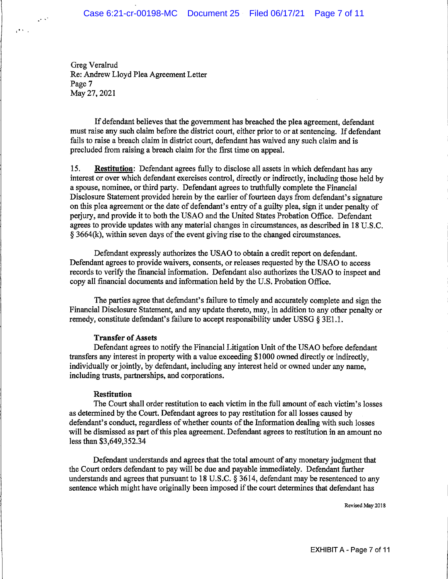Greg Veralrud Re: Andrew Lloyd Plea Agreement Letter Page 7 May 27, 2021

 $\sim$   $\sim$ 

 $\mathcal{O}(N)$  .

If defendant believes that the government has breached the plea agreement, defendant must raise any such claim before the district court, either prior to or at sentencing. If defendant fails to raise a breach claim in district court, defendant has waived any such claim and is precluded from raising a breach claim for the first time on appeal.

15. **Restitution:** Defendant agrees fully to disclose all assets in which defendant has any interest or over which defendant exercises control, directly or indirectly, including those held by a spouse, nominee, or third party. Defendant agrees to truthfully complete the Financial Disclosure Statement provided herein by the earlier of fourteen days from defendant's signature on this plea agreement or the date of defendant's entry of a guilty plea, sign it under penalty of perjury, and provide it to both the USAO and the United States Probation Office. Defendant agrees to provide updates with any material changes in circumstances, as described in 18 U.S.C. § 3664(k), within seven days of the event giving rise to the changed circumstances.

Defendant expressly authorizes the USAO to obtain a credit report on defendant. Defendant agrees to provide waivers, consents, or releases requested by the USAO to access records to verify the financial information. Defendant also authorizes the USAO to inspect and copy all fmancial documents and information held by the U.S. Probation Office.

The parties agree that defendant's failure to timely and accurately complete and sign the Financial Disclosure Statement, and any update thereto, may, in addition to any other penalty or remedy, constitute defendant's failure to accept responsibility under USSG § 3El.1.

## **Transfer of Assets**

Defendant agrees to notify the Financial Litigation Unit of the USAO before defendant transfers any interest in property with a value exceeding \$1000 owned directly or indirectly, individually or jointly, by defendant, including any interest held or owned under any name, including trusts, partnerships, and corporations.

### **Restitution**

The Court shall order restitution to each victim in the full amount of each victim's losses as determined by the Court. Defendant agrees to pay restitution for all losses caused by defendant's conduct, regardless of whether counts of the Information dealing with such losses will be dismissed as part of this plea agreement. Defendant agrees to restitution in an amount no less than \$3,649,352.34

Defendant understands and agrees that the total amount of any monetary judgment that the Court orders defendant to pay will be due and payable immediately. Defendant further understands and agrees that pursuant to 18 U.S.C. § 3614, defendant may be resentenced to any sentence which might have originally been imposed if the court determines that defendant has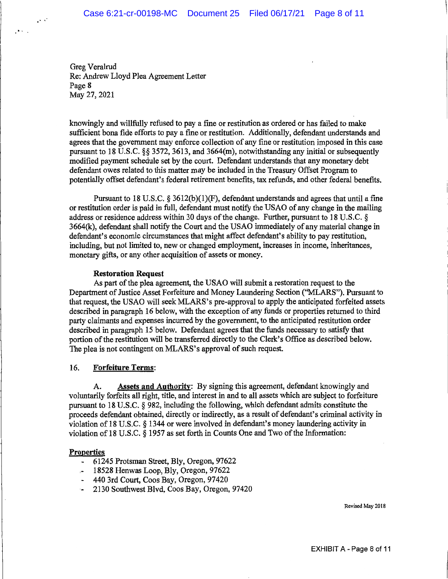Greg Veralrud Re: Andrew Lloyd Plea Agreement Letter Page **8**  May 27, 2021

 $\mathcal{O}(\mathcal{C})$ 

 $\mathcal{O}(n)$  .

knowingly and willfully refused to pay a fine or restitution as ordered or has failed to make sufficient bona fide efforts to pay a fine or restitution. Additionally, defendant understands and agrees that the government may enforce collection of any fine or restitution imposed in this case pursuant to 18 U.S.C. §§ 3572, 3613, and 3664(m), notwithstanding any initial or subsequently modified payment schedule set by the court. Defendant understands that any monetary debt defendant owes related to this matter may be included in the Treasury Offset Program to potentially offset defendant's federal retirement benefits, tax refunds, and other federal benefits.

Pursuant to 18 U.S.C.  $\S$  3612(b)(1)(F), defendant understands and agrees that until a fine or restitution order is paid in full, defendant must notify the USAO of any change in the mailing address or residence address within 30 days of the change. Further, pursuant to 18 U.S.C. § 3664(k), defendant shall notify the Court and the USAO immediately of any material change in defendant's economic circumstances that might affect defendant's ability to pay restitution, including, but not limited to, new or changed employment, increases in income, inheritances, monetary gifts, or any other acquisition of assets or money.

## **Restoration Request**

As part of the plea agreement, the USAO will submit a restoration request to the Department of Justice Asset Forfeiture and Money Laundering Section (''MLARS"). Pursuant to that request, the USAO will seek MLARS's pre-approval to apply the anticipated forfeited assets described in paragraph 16 below, with the exception of any funds or properties returned to third party claimants and expenses incurred by the government, to the anticipated restitution order described in paragraph 15 below. Defendant agrees that the funds necessary to satisfy that portion of the restitution will be transferred directly to the Clerk's Office as described below. The plea is not contingent on MLARS's approval of such request.

# 16. **Forfeiture Terms:**

A. **Assets and Authority:** By signing this agreement, defendant knowingly and voluntarily forfeits all right, title, and interest in and to all assets which are subject to forfeiture pursuant to 18 U.S.C. § 982, including the following, which defendant admits constitute the proceeds defendant obtained, directly or indirectly, as a result of defendant's criminal activity in violation of 18 U.S.C. § 1344 or were involved in defendant's money laundering activity in violation of 18 U.S.C. § 1957 as set forth in Counts One and Two of the Information:

### **Properties**

- 61245 Protsman Street, Bly, Oregon, 97622
- 18528 Henwas Loop, Bly, Oregon, 97622
- 440 3rd Court, Coos Bay, Oregon, 97420
- 2130 Southwest Blvd, Coos Bay, Oregon, 97420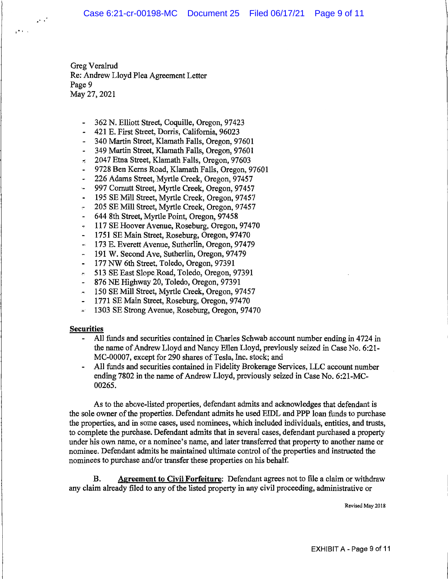Greg Veralrud Re: Andrew Lloyd Plea Agreement Letter Page 9 May 27, 2021

- 362 N. Elliott Street, Coquille, Oregon, 97423
- 421 E. First Street, Dorris, California, 96023
- 340 Martin Street, Klamath Falls, Oregon, 97601
- 349 Martin Street, Klamath Falls, Oregon, 97601
- $\approx$  2047 Etna Street, Klamath Falls, Oregon, 97603
- 9728 Ben Kerns Road, Klamath Falls, Oregon, 97601
- 226 Adams Street, Myrtle Creek, Oregon, 97457
- 997 Cornutt Street, Myrtle Creek, Oregon, 97457
- 195 SE Mill Street, Myrtle Creek, Oregon, 97457
- 205 SE Mill Street, Myrtle Creek, Oregon, 97457
- 644 8th Street, Myrtle Point, Oregon, 97458
- 117 SE Hoover Avenue, Roseburg, Oregon, 97470
- 1751 SE Main Street, Roseburg, Oregon, 97470
- 173 E. Everett Avenue, Sutherlin, Oregon, 97479  $\overline{\phantom{a}}$
- 191 W. Second Ave, Sutherlin, Oregon, 97479
- 177 NW 6th Street, Toledo, Oregon, 97391  $\blacksquare$
- ,., 513 SE East Slope Road, Toledo, Oregon, 97391
- 876 NE Highway 20, Toledo, Oregon, 97391
- 150 SE Mill Street, Myrtle Creek, Oregon, 97457  $\overline{a}$
- 1771 SE Main Street, Roseburg, Oregon, 97470
- 1303 SE Strong Avenue, Roseburg, Oregon, 97470

### **Securities**

...

 $\mathbf{p}^{\mathbf{a}}$  and  $\mathbf{q}$ 

- All funds and securities contained in Charles Schwab account number ending in 4724 in the name of Andrew Lloyd and Nancy Ellen Lloyd, previously seized in Case No. 6:21- MC-00007, except for 290 shares of Tesla, Inc. stock; and
- All funds and securities contained in Fidelity Brokerage Services, LLC account number ending 7802 in the name of Andrew Lloyd, previously seized in Case No. 6:21-MC-00265.

As to the above-listed properties, defendant admits and acknowledges that defendant is the sole owner of the properties. Defendant admits he used EIDL and PPP loan funds to purchase the properties, and in some cases, used nominees, which included individuals, entities, and trusts, to complete the purchase. Defendant admits that in several cases, defendant purchased a property under his own name, or a nominee's name, and later transferred that property to another name or nominee. Defendant admits he maintained ultimate control of the properties and instructed the nominees to purchase and/or transfer these properties on his behalf.

**B. Agreement to Civil Forfeiture:** Defendant agrees not to file a claim or withdraw any claim already filed to any of the listed property in any civil proceeding, administrative or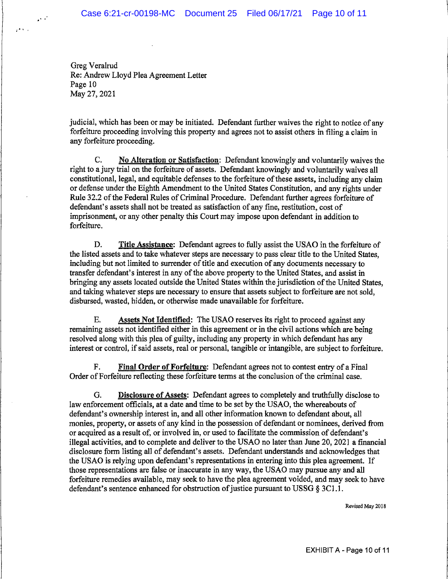Greg Veralrud Re: Andrew Lloyd Plea Agreement Letter Page 10 May 27, 2021

 $\sim$   $\sim$ 

 $\mu$  and  $\mu$ 

judicial, which has been or may be initiated. Defendant further waives the right to notice of any forfeiture proceeding involving this property and agrees not to assist others in filing a claim in any forfeiture proceeding.

C. No Alteration or Satisfaction: Defendant knowingly and voluntarily waives the right to a jury trial on the forfeiture of assets. Defendant knowingly and voluntarily waives all constitutional, legal, and equitable defenses to the forfeiture of these assets, including any claim or defense under the Eighth Amendment to the United States Constitution, and any rights under Rule 32.2 of the Federal Rules of Criminal Procedure. Defendant further agrees forfeiture of defendant's assets shall not be treated as satisfaction of any fine, restitution, cost of imprisonment, or any other penalty this Court may impose upon defendant in addition to forfeiture.

D. **Title Assistance:** Defendant agrees to fully assist the USAO in the forfeiture of the listed assets and to take whatever steps are necessary to pass clear title to the United States, including but not limited to surrender of title and execution of any documents necessary to transfer defendant's interest in any of the above property to the United States, and assist in bringing any assets located outside the United States within the jurisdiction of the United States, and taking whatever steps are necessary to ensure that assets subject to forfeiture are not sold, disbursed, wasted, hidden, or otherwise made unavailable for forfeiture.

E. Assets Not Identified: The USAO reserves its right to proceed against any remaining assets not identified either in this agreement or in the civil actions which are being resolved along with this plea of guilty, including any property in which defendant has any interest or control, if said assets, real or personal, tangible or intangible, are subject to forfeiture.

F. Final **Order of Forfeiture:** Defendant agrees not to contest entry of a Final Order of Forfeiture reflecting these forfeiture terms at the conclusion of the criminal case.

G. **Disclosure of Assets:** Defendant agrees to completely and truthfully disclose to law enforcement officials, at a date and time to be set by the USAO, the whereabouts of defendant's ownership interest in, and all other information known to defendant about, all monies, property, or assets of any kind in the possession of defendant or nominees, derived from or acquired as a result of, or involved in, or used to facilitate the commission of defendant's illegal activities, and to complete and deliver to the USAO no later than June 20, 2021 a financial disclosure form listing all of defendant's assets. Defendant understands and acknowledges that the USAO is relying upon defendant's representations in entering into this plea agreement. If those representations are false or inaccurate in any way, the USAO may pursue any and all forfeiture remedies available, may seek to have the plea agreement voided, and may seek to have defendant's sentence enhanced for obstruction of justice pursuant to USSG  $\S 3C1.1$ .